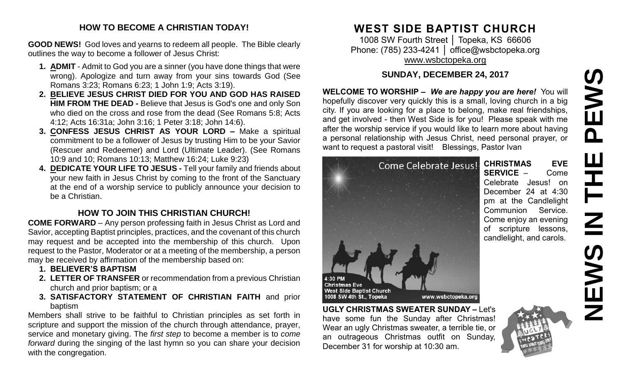# EWS **NEWS IN THE PEWS** $\overline{\mathbf{a}}$ **HH HH** Z

#### **HOW TO BECOME A CHRISTIAN TODAY!**

**GOOD NEWS!** God loves and yearns to redeem all people. The Bible clearly outlines the way to become a follower of Jesus Christ:

- **1. ADMIT** Admit to God you are a sinner (you have done things that were wrong). Apologize and turn away from your sins towards God (See Romans 3:23; Romans 6:23; 1 John 1:9; Acts 3:19).
- **2. BELIEVE JESUS CHRIST DIED FOR YOU AND GOD HAS RAISED HIM FROM THE DEAD -** Believe that Jesus is God's one and only Son who died on the cross and rose from the dead (See Romans 5:8; Acts 4:12; Acts 16:31a; John 3:16; 1 Peter 3:18; John 14:6).
- **3. CONFESS JESUS CHRIST AS YOUR LORD –** Make a spiritual commitment to be a follower of Jesus by trusting Him to be your Savior (Rescuer and Redeemer) and Lord (Ultimate Leader). (See Romans 10:9 and 10; Romans 10:13; Matthew 16:24; Luke 9:23)
- **4. DEDICATE YOUR LIFE TO JESUS -** Tell your family and friends about your new faith in Jesus Christ by coming to the front of the Sanctuary at the end of a worship service to publicly announce your decision to be a Christian.

### **HOW TO JOIN THIS CHRISTIAN CHURCH!**

**COME FORWARD** – Any person professing faith in Jesus Christ as Lord and Savior, accepting Baptist principles, practices, and the covenant of this church may request and be accepted into the membership of this church. Upon request to the Pastor, Moderator or at a meeting of the membership, a person may be received by affirmation of the membership based on:

- **1. BELIEVER'S BAPTISM**
- **2. LETTER OF TRANSFER** or recommendation from a previous Christian church and prior baptism; or a
- **3. SATISFACTORY STATEMENT OF CHRISTIAN FAITH** and prior baptism

Members shall strive to be faithful to Christian principles as set forth in scripture and support the mission of the church through attendance, prayer, service and monetary giving. The *first step* to become a member is to *come forward* during the singing of the last hymn so you can share your decision with the congregation.

# **WEST SIDE BAPTIST CHURCH**

1008 SW Fourth Street │ Topeka, KS 66606 Phone: (785) 233-4241 | [office@wsbctopeka.org](mailto:office@wsbctopeka.org) [www.wsbctopeka.org](http://www.wsbctopeka.org/)

#### **SUNDAY, DECEMBER 24, 2017**

**WELCOME TO WORSHIP –** *We are happy you are here!* You will hopefully discover very quickly this is a small, loving church in a big city. If you are looking for a place to belong, make real friendships, and get involved - then West Side is for you! Please speak with me after the worship service if you would like to learn more about having a personal relationship with Jesus Christ, need personal prayer, or want to request a pastoral visit! Blessings, Pastor Ivan

Come Celebrate Jesus!



**UGLY CHRISTMAS SWEATER SUNDAY –** Let's have some fun the Sunday after Christmas! Wear an ugly Christmas sweater, a terrible tie, or an outrageous Christmas outfit on Sunday, December 31 for worship at 10:30 am.



**CHRISTMAS EVE SERVICE** – Come Celebrate Jesus! on December 24 at 4:30 pm at the Candlelight Communion Service. Come enjoy an evening of scripture lessons, candlelight, and carols.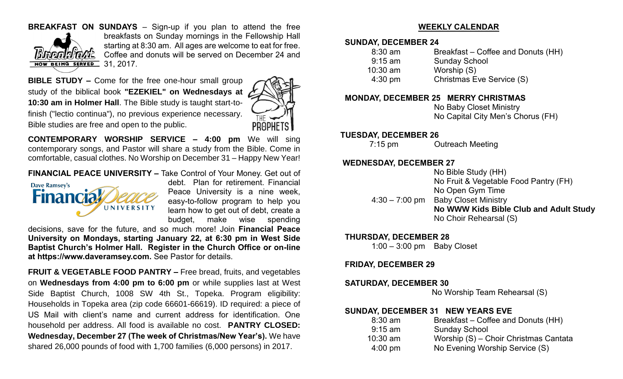#### **BREAKFAST ON SUNDAYS** – Sign-up if you plan to attend the free



breakfasts on Sunday mornings in the Fellowship Hall starting at 8:30 am. All ages are welcome to eat for free. Coffee and donuts will be served on December 24 and

**BIBLE STUDY –** Come for the free one-hour small group study of the biblical book **"EZEKIEL" on Wednesdays at 10:30 am in Holmer Hall**. The Bible study is taught start-tofinish ("lectio continua"), no previous experience necessary. Bible studies are free and open to the public.



**CONTEMPORARY WORSHIP SERVICE – 4:00 pm** We will sing contemporary songs, and Pastor will share a study from the Bible. Come in comfortable, casual clothes. No Worship on December 31 – Happy New Year!

**FINANCIAL PEACE UNIVERSITY –** Take Control of Your Money. Get out of



debt. Plan for retirement. Financial Peace University is a nine week, easy-to-follow program to help you learn how to get out of debt, create a budget, make wise spending

decisions, save for the future, and so much more! Join **Financial Peace University on Mondays, starting January 22, at 6:30 pm in West Side Baptist Church's Holmer Hall. Register in the Church Office or on-line at https://www.daveramsey.com.** See Pastor for details.

**FRUIT & VEGETABLE FOOD PANTRY –** Free bread, fruits, and vegetables on **Wednesdays from 4:00 pm to 6:00 pm** or while supplies last at West Side Baptist Church, 1008 SW 4th St., Topeka. Program eligibility: Households in Topeka area (zip code 66601-66619). ID required: a piece of US Mail with client's name and current address for identification. One household per address. All food is available no cost. **PANTRY CLOSED: Wednesday, December 27 (The week of Christmas/New Year's).** We have shared 26,000 pounds of food with 1,700 families (6,000 persons) in 2017.

#### **WEEKLY CALENDAR**

#### **SUNDAY, DECEMBER 24**

| $8:30$ am         | Breakfast – Coffee and Donuts (HH) |
|-------------------|------------------------------------|
| $9:15$ am         | <b>Sunday School</b>               |
| $10:30$ am        | Worship (S)                        |
| $4:30 \text{ pm}$ | Christmas Eve Service (S)          |
|                   |                                    |

#### **MONDAY, DECEMBER 25 MERRY CHRISTMAS**

 No Baby Closet Ministry No Capital City Men's Chorus (FH)

#### **TUESDAY, DECEMBER 26**

7:15 pm Outreach Meeting

#### **WEDNESDAY, DECEMBER 27**

 No Bible Study (HH) No Fruit & Vegetable Food Pantry (FH) No Open Gym Time 4:30 – 7:00 pm Baby Closet Ministry  **No WWW Kids Bible Club and Adult Study** No Choir Rehearsal (S)

#### **THURSDAY, DECEMBER 28**

1:00 – 3:00 pm Baby Closet

#### **FRIDAY, DECEMBER 29**

#### **SATURDAY, DECEMBER 30**

No Worship Team Rehearsal (S)

#### **SUNDAY, DECEMBER 31 NEW YEARS EVE**

| $8:30$ am         | Breakfast – Coffee and Donuts (HH)    |
|-------------------|---------------------------------------|
| $9:15$ am         | <b>Sunday School</b>                  |
| $10:30$ am        | Worship (S) - Choir Christmas Cantata |
| $4:00 \text{ pm}$ | No Evening Worship Service (S)        |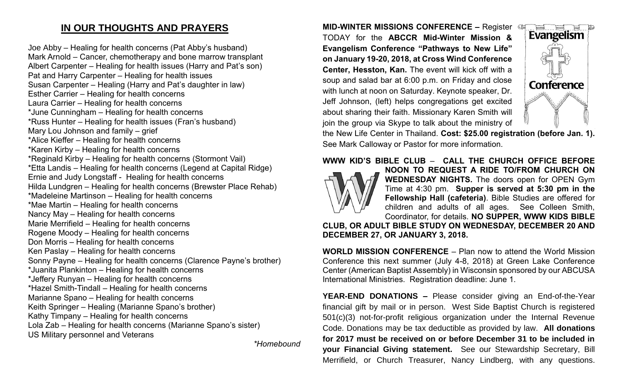## **IN OUR THOUGHTS AND PRAYERS**

Joe Abby – Healing for health concerns (Pat Abby's husband) Mark Arnold – Cancer, chemotherapy and bone marrow transplant Albert Carpenter – Healing for health issues (Harry and Pat's son) Pat and Harry Carpenter – Healing for health issues Susan Carpenter – Healing (Harry and Pat's daughter in law) Esther Carrier – Healing for health concerns Laura Carrier – Healing for health concerns \*June Cunningham – Healing for health concerns \*Russ Hunter – Healing for health issues (Fran's husband) Mary Lou Johnson and family – grief \*Alice Kieffer – Healing for health concerns \*Karen Kirby – Healing for health concerns \*Reginald Kirby – Healing for health concerns (Stormont Vail) \*Etta Landis – Healing for health concerns (Legend at Capital Ridge) Ernie and Judy Longstaff - Healing for health concerns Hilda Lundgren – Healing for health concerns (Brewster Place Rehab) \*Madeleine Martinson – Healing for health concerns \*Mae Martin – Healing for health concerns Nancy May – Healing for health concerns Marie Merrifield – Healing for health concerns Rogene Moody – Healing for health concerns Don Morris – Healing for health concerns Ken Paslay – Healing for health concerns Sonny Payne – Healing for health concerns (Clarence Payne's brother) \*Juanita Plankinton – Healing for health concerns \*Jeffery Runyan – Healing for health concerns \*Hazel Smith-Tindall – Healing for health concerns Marianne Spano – Healing for health concerns Keith Springer – Healing (Marianne Spano's brother) Kathy Timpany – Healing for health concerns Lola Zab – Healing for health concerns (Marianne Spano's sister) US Military personnel and Veterans

*\*Homebound*

**MID-WINTER MISSIONS CONFERENCE – Register CDI** TODAY for the **ABCCR Mid-Winter Mission & Evangelism Conference "Pathways to New Life" on January 19-20, 2018, at Cross Wind Conference Center, Hesston, Kan.** The event will kick off with a soup and salad bar at 6:00 p.m. on Friday and close with lunch at noon on Saturday. Keynote speaker, Dr. Jeff Johnson, (left) helps congregations get excited about sharing their faith. Missionary Karen Smith will join the group via Skype to talk about the ministry of



the New Life Center in Thailand. **Cost: \$25.00 registration (before Jan. 1).**  See Mark Calloway or Pastor for more information.

#### **WWW KID'S BIBLE CLUB** – **CALL THE CHURCH OFFICE BEFORE**



**NOON TO REQUEST A RIDE TO/FROM CHURCH ON WEDNESDAY NIGHTS.** The doors open for OPEN Gym Time at 4:30 pm. **Supper is served at 5:30 pm in the Fellowship Hall (cafeteria)**. Bible Studies are offered for children and adults of all ages. See Colleen Smith, Coordinator, for details. **NO SUPPER, WWW KIDS BIBLE** 

**CLUB, OR ADULT BIBLE STUDY ON WEDNESDAY, DECEMBER 20 AND DECEMBER 27, OR JANUARY 3, 2018.**

**WORLD MISSION CONFERENCE** – Plan now to attend the World Mission Conference this next summer (July 4-8, 2018) at Green Lake Conference Center (American Baptist Assembly) in Wisconsin sponsored by our ABCUSA International Ministries. Registration deadline: June 1.

**YEAR-END DONATIONS –** Please consider giving an End-of-the-Year financial gift by mail or in person. West Side Baptist Church is registered 501(c)(3) not-for-profit religious organization under the Internal Revenue Code. Donations may be tax deductible as provided by law. **All donations for 2017 must be received on or before December 31 to be included in your Financial Giving statement.** See our Stewardship Secretary, Bill Merrifield, or Church Treasurer, Nancy Lindberg, with any questions.